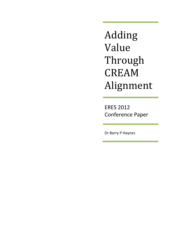Adding Value Through CREAM Alignment

ERES 2012 Conference Paper

Dr Barry P Haynes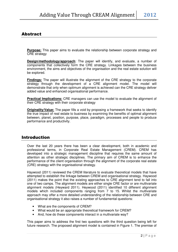## Abstract

**Purpose:** This paper aims to evaluate the relationship between corporate strategy and CRE strategy

**Design/methodology/approach**: The paper will identify, and evaluate, a number of components that collectively form the CRE strategy. Linkages between the business environment, the aims and objectives of the organisation and the real estate solution will be explored.

**Findings:** The paper will illustrate the alignment of the CRE strategy to the corporate strategy through the development of a CRE alignment model. The model will demonstrate that only when optimum alignment is achieved can the CRE strategy deliver added value and enhanced organisational performance.

**Practical Implications:** CRE managers can use the model to evaluate the alignment of their CRE strategy with their corporate strategy

**Originality/Value:** The paper fills a void by proposing a framework that seeks to identify the true impact of real estate to business by examining the benefits of optimal alignment between, planet, position, purpose, place, paradigm, processes and people to produce performance and productivity.

# Introduction

Over the last 20 years there has been a clear development, both in academic and professional terms, in Corporate Real Estate Management (CREM). CREM has developed into a strategic management discipline that requires the same amount of attention as other strategic disciplines. The primary aim of CREM is to enhance the performance of the client organisation through the alignment of the corporate real estate (CRE) strategy with the organisational strategy.

Haywood (2011) reviewed the CREM literature to evaluate theoretical models that have attempted to establish the linkage between CREM and organisational strategy. Haywood (2011) makes the point that the existing approaches to CRE alignment tend to fall into one of two camps. The alignment models are either single CRE factor or are multivariate alignment models (Heyward 2011). Heywood (2011) identified 10 different alignment models which included components ranging from 7 to 15. Whilst the multivariate approach may offer a more detailed understanding of the relationship between CRE and organisational strategy it also raises a number of fundamental questions:

- What are the components of CREM?
- What would be an appropriate theoretical framework for CREM?
- And, how do these components interact in a multivariate way?

This paper aims to address the first two questions with the third question being left for future research. The proposed alignment model is contained in Figure 1. The premise of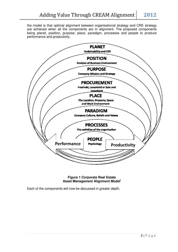the model is that optimal alignment between organisational strategy and CRE strategy are achieved when all the components are in alignment. The proposed components being planet, position, purpose, place, paradigm, processes and people to produce performance and productivity.



**Asset Management Alignment Model<sup>i</sup> Figure 1 Corporate Real Estate** 

Each of the components will now be discussed in greater depth.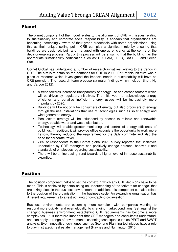## Planet

The planet component of the model relates to the alignment of CRE with issues relating to sustainability and corporate social responsibility. It appears that organisations are becoming increasingly aware of their green credentials with some organisations using this as their unique selling point. CRE can play a significant role by ensuring that buildings are designed, built and managed with energy efficiency at the centre of the decision-making process. Part of this process will be ensuring that the building has the appropriate sustainability certification such as; BREEAM, LEED, CASBEE and Green Star.

Cornet Global has undertaking a number of research initiatives relating to the trends in CRE. The aim is to establish the demands for CRE in 2020. Part of this initiative was a piece of research which investigated the impacts trends in sustainability will have on CRE provision. The research team propose six major findings which include (Shen, Ng and Varcoe 2012):

- A trend towards increased transparency of energy use and carbon footprint which will be driven by regulatory initiatives. The initiatives that acknowledge energy efficiency and penalise inefficient energy usage will be increasingly more important by 2020.
- Buildings will be not only be consumers of energy but also producers of energy through the use installations that use of technologies such as solar energy and wind generated energy.
- Real estate strategy will be influenced by access to reliable and renewable energy, potable water and waste distribution.
- Technology will enable greater monitoring and control of energy efficiency of buildings. In addition, it will provide office occupiers the opportunity to work more flexibly, thereby reducing the requirement for the daily commute and also the need for corporate travel.
- 74% of respondents to the Cornet global 2020 survey reported that initiatives undertaken by CRE managers can positively change personal behaviour and standards of employees regarding sustainability.
- There will be an increasing trend towards a higher level of in-house sustainability expertise.

# Position

The position component helps to set the context in which any CRE decisions have to be made. This is achieved by establishing an understanding of the "drivers for change" that are taking place in the business environment. In addition, this component can also relate to the position of the organisation in the business cycle. An expanding organisation has different requirements to a restructuring or contracting organisation.

Business environments are becoming more complex, with companies wanting to respond more quickly, and even globally, to changing market conditions. Set against the changing business environment, establishing CRE requirements has become a more complex task. It is therefore important that CRE managers and consultants understand, and can apply, a range of environmental scanning techniques such as PEST and SWOT analysis. Even innovative techniques such as Scenario Planning techniques have a role to play in strategic real estate management (Haynes and Nunnington 2010).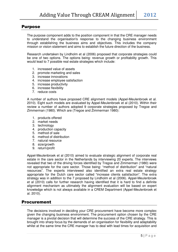## Purpose

The purpose component adds to the position component in that the CRE manager needs to understand the organisation's response to the changing business environment through establishing the business aims and objectives. This includes the company mission or vision statement and aims to establish the future direction of the business.

Research undertaken by Lindholm et al (2006) proposed that corporate strategies could be one of two options. The options being: revenue growth or profitability growth. This would lead to 7 possible real estate strategies which include:

- 1. increased value of assets
- 2. promote marketing and sales
- 3. increase innovations
- 4. increase employee satisfaction
- 5. increase productivity
- 6. increase flexibility
- 7. reduce costs

A number of authors have proposed CRE alignment models (Appel-Meulenbroek et al. 2010). Eight such models are evaluated by Appel-Meulenbroek et al (2010). Within their review a number of authors adopted 9 corporate strategies proposed by Tregoe and Zimmerman (1980). Which are (Tregoe and Zimmerman 1980):

- 1. products offered
- 2. market needs
- 3. technology
- 4. production capacity
- 5. method of sale
- 6. method of distribution
- 7. natural resource
- 8. size/growth
- 9. return/profit

Appel-Meulenbroek et al (2010) aimed to evaluate strategic alignment of corporate real estate in the care sector in the Netherlands by interviewing 20 experts. The interviews revealed that two of the driving forces identified by Tregoe and Zimmerman (1980) were not appropriate for the care sector. Those being: "method of distribution" and "natural resources". The experts interviewed also identified an extra real estate strategy appropriate for the Dutch care sector called "increase clients satisfaction". The extra strategy was in addition to the 7 proposed by Lindholm et al (2006). Appel-Meulenbroek et al (2010) calls for further research having identified that it is hard to find a definite alignment mechanism as ultimately the alignment evaluation will be based on expert knowledge which is not always available in a CREM Department (Appel-Meulenbroek et al. 2010).

#### Procurement

The decisions involved in deciding your CRE procurement have become more complex given the changing business environment. The procurement option chosen by the CRE manager is a pivotal decision that will determine the success of the CRE strategy. This is brought into sharp focus by the demands of an organisation for flexibility and adaptability whilst at the same time the CRE manager has to deal with lead times for acquisition and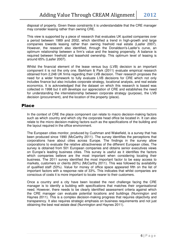disposal of property. Given these constraints it is understandable that the CRE manager may consider leasing rather than owning CRE.

This view is supported by a piece of research that evaluates UK quoted companies over a period between 1989 and 2002, which identified a trend in high-growth and large companies towards leasing rather than owning freehold real estate (Lasfer 2007). However, the research also identified, through the Donaldson's-Lasfer's curve, an optimum relationship between a firm's value and the leasing propensity. A balance is required between freehold and leasehold ownership. This optimum level of leasing is around 65% (Lasfer 2007).

Whilst the financial element of the lease versus buy (LVB) decision is an important component it is not the only one. Barkham & Park (2011) evaluate empirical research obtained from 2,248 UK firms regarding their LVB decision. Their research proposes the need for a wider framework to fully evaluate LVB decisions for CRE which not only includes finance but also includes corporate strategy, locational analysis, and real estate economics. It is acknowledged that the dataset on which this research is based was collected in 1998 but it still develops our appreciation of CRE and establishes the need for understanding the interrelationship between corporate strategy (purpose), the LVB decision (procurement), and the location of the property (place).

#### Place

In the context of CRE the place component can relate to macro decision-making factors such as which country and which city the corporate head office be located in. It can also relate to the micro decision-making factors such as the specifications of the building and the layout required in the office environment.

The European cities monitor, produced by Cushman and Wakefield, is a survey that has been produced since 1990 (McCarthy 2011). The survey identifies the perceptions that corporations have about cities across Europe. The findings in the survey allow corporations to evaluate the relative attractiveness of the different European cities. The survey is obtained from 501 European companies and obtains senior executives views on Europe's leading business cities. This survey is useful as it identifies the factors which companies believe are the most important when considering locating their business. The 2011 survey identified the most important factor to be easy access to markets, customers or clients (60%) (McCarthy 2011). This was followed by availability of qualified staff (53%). Value for money of office space appeared fifth on the list of important factors with a response rate of 33%. This indicates that whilst companies are conscious of costs it is more important to locate nearer to their customers.

Once a country and a city have been located the next challenge facing the CRE manager is to identify a building with specifications that matches their organisational need. However, there needs to be clearly identified assessment criteria against which the CRE manager can evaluate potential locations and buildings (Nunnington and Haynes 2011). This is a complex decision-making progress that requires objectivity and transparency. It also requires strategic emphasis on business requirements and not just obtaining the best real estate deal (Nunnington and Haynes 2011).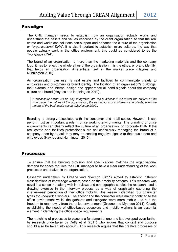## Paradigm

The CRE manager needs to establish how an organisation actually works and understand the beliefs and values espoused by the client organisation so that the real estate and workplace solutions can support and enhance the culture of the organisation or "organisational DNA". It is also important to establish micro cultures, the way that people actually work in the office environment; this could be considered to be the "workplace DNA".

The brand of an organisation is more than the marketing materials and the company logo; it has to reflect the whole ethos of the organisation. It is the ethos, or brand identity, that helps an organisation differentiate itself in the market place (Haynes and Nunnington 2010).

An organisation can use its real estate and facilities to communicate clearly to employees and customers its brand identity. The location of an organisation's buildings, their external and internal design and appearance all send signals about the company culture and brand (Haynes and Nunnington 2010).

A successful brand will be fully integrated into the business: it will reflect the culture of the workplace, the values of the organisation, the perceptions of customers and clients, even the nature of the business's assets (McNestrie 2009).

Branding is strongly associated with the consumer and retail sector. However, it can perform just as important a role in office working environments. The branding of office environments can clearly reflect the culture of an organisation, or corporate DNA. If the real estate and facilities professionals are not consciously managing the brand of a company, then by default they may be sending negative signals to their customers and employees (Haynes and Nunnington 2010).

#### Processes

To ensure that the building provision and specifications matches the organisational demand for space requires the CRE manager to have a clear understanding of the work processes undertaken in the organisation.

Research undertaken by Greene and Myerson (2011) aimed to establish different classifications of knowledge workers based on their mobility patterns. This research was novel in a sense that along with interviews and ethnographic studies the research used a drawing exercise in the interview process as a way of graphically capturing the interviewees' perception of their office mobility. This research identified four character types for knowledge workers. The anchor and the connector were mainly confined to the office environment whilst the gatherer and navigator were more mobile and had the freedom to roam away from the office environment (Greene and Myerson 2011). Clearly establishing the needs of office-based occupiers and mobile workers is an essential element in identifying the office space requirements.

The matching of processes to place is a fundamental one and is developed even further by research undertaken by Duffy et al (2011) who argues that context and purpose should also be taken into account. This research argues that the creative processes of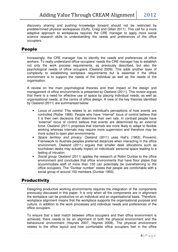discovery sharing and pushing knowledge forward should not be restricted by predetermined physical workspaces (Duffy, Craig and Gillan 2011). This call for a more adaptive approach to workplaces requires the CRE manager to apply more social science research skills to understanding the needs and preferences of the office occupiers.

# People

Increasingly, the CRE manager has to identify the needs and preferences of office workers. To really understand office occupiers' needs the CRE manager has to establish not only the work process requirements, as previously described, but also the psychological needs of office occupiers (Oseland 2009). This adds another layer of complexity to establishing workplace requirements but is essential if the office environment is to support the needs of the individual as well as the needs of the organisation.

A review on the main psychological theories and their impact of the design and management of office environments is presented by Oseland (2011). This review argues that there is a need for effective use of space by placing individual needs, as well as organisational needs, at the centre of office design. A view of the key theories identified by Oseland (2011) are summarised below:

- Locus of control: This relates to an individual's perceptions of how events are controlled (Rotter 1966). People who have "internal" locus of control believe that it is their own decisions that determine their own rate. In contrast people have "external" locus of control believe that events are determined by an external force. Oseland (2011) proposes that internals are more likely to adapt to flexible working whereas internals may require more supervision and therefore may be more suited to open plan environments
- Space territory and privacy: Oseland (2011) uses Hall's (1963) Proxemic Framework to illustrate peoples preferred distances when interacting in the office environment. Oseland (2011) argues that smaller desk allocations such as touchdown desks may actually impact on individuals' personal space leading to a feeling of intrusion.
- Social group: Oseland (2011) applies the research of Robin Dunbar to the office environment and concludes that office environments that have floor plates that accommodate staff of more than 150 can potentially be overwhelming to the office occupiers. The "Dunbar number" states that people are comfortable with a social group of around 150 members (Dunbar 1993).

# **Productivity**

Designing productive working environments requires the integration of the components previously discussed in this paper. It is only when all the components are in alignment the workplace can be productive on an individual and an organisational basis. Therefore, workplace alignment means that the workplace supports the organisational purpose and culture, in addition to the work processes and individual needs and preferences of the office occupiers.

To ensure that a best match between office occupiers and their office environment is achieved, there needs to be an alignment of both the physical environment and the behavioural environment (Haynes 2007; Haynes 2008). The physical environment relates to the office layout and how comfortable office occupiers feel in the office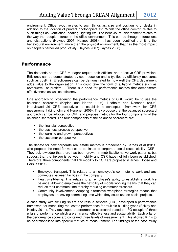environment. Office layout relates to such things as: size and positioning of desks in addition to the location of printers photocopiers etc. Whilst the office comfort relates to such things as: ventilation, heating, lighting etc. The behavioural environment relates to the way that people interact in the office environment. This can be through interactions and distractions (Haynes 2007; Haynes 2008). It has been identified that it is the behavioural environment, more than the physical environment, that has the most impact on people's perceived productivity (Haynes 2007; Haynes 2008).

# Performance

The demands on the CRE manager require both efficient and effective CRE provision. Efficiency can be demonstrated by cost reduction and is typified by efficiency measures such as cost/m2. Effectiveness can be demonstrated by how well the CRE department adds value to the organisation. This could take the form of a hybrid metrics such as revenue/m2 or profit/m2. There is a need for performance metrics that demonstrate effectiveness as well as efficiency.

One approach to broadening the performance metrics of CRE would be to use the balanced scorecard (Kaplan and Norton 1996). Lindholm and Nenonen (2006) interviewed 26 CRE executives to establish a conceptual framework for CRE measurement (Lindholm and Nenonen 2006). They propose that the balanced scorecard approach can be adopted for CRE and propose metrics for the four components of the balanced scorecard. The four components of the balanced scorecard are:

- the financial perspective
- the business process perspective
- the learning and growth perspectives
- the customer perspective

The debate for new corporate real estate metrics is broadened by Barnes et al (2011) who propose the need for metrics to be linked to corporate social responsibility (CSR). They acknowledge that there has been growth in mobility/alternative work patterns, but suggest that the linkage is between mobility and CSR have not fully been established. Therefore, three components that link mobility to CSR are proposed (Barnes, Roose and Perske 2011).

- Employee transport. This relates to an employee's commute to work and any commutes between facilities in the company.
- Health/well-being. This relates to an employee's ability to establish a work life balance. Allowing employees the flexibility of mobile working means that they can reduce their commute time thereby reducing commuter stressors.
- Community involvement. Adopting alternative workplace strategies means that employees are saving commuting time which they could use on social projects.

A case study with six English fire and rescue services (FRS) developed a performance framework for measuring real estate performance for multiple building types (Eckley and Hedley 2011). They developed a performance scorecard based on IPD occupiers' three pillars of performance which are efficiency, effectiveness and sustainability. Each pillar of the performance scorecard contained three levels of measurement. This allowed KPI's to be operationalised into specific metrics of measurement. The findings of the case study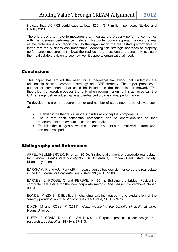indicate that UK FRS could save at least £30m (\$47 million) per year. (Eckley and Hedley 2011).

There is a trend to move to measures that integrate the property performance metrics with the business performance metrics. This contemporary approach allows the real estate professionals to report back to the organisation the real estate performance in terms that the business can understand. Adopting this strategic approach to property performance measurement allows the real estate professionals to constantly evaluate their real estate provision to see how well it supports organisational need.

# Conclusions

This paper has argued the need for a theoretical framework that underpins the relationship between corporate strategy and CRE strategy. The paper proposes a number of components that could be included in the theoretical framework. The theoretical framework proposes that only when optimum alignment is achieved can the CRE strategy deliver added value and enhanced organisational performance.

To develop this area of research further and number of steps need to be followed such as:

- Establish if the theoretical model includes all conceptual components.
- Ensure that each conceptual component can be operationalised so that measurement and evaluation can be undertaken.
- Establish the linkages between components so that a true multivariate framework can be developed.

# Bibliography and References

APPEL-MEULENBROEK, R, et al. (2010). Strategic alignment of corporate real estate. In: European Real Estate Society (ERES) Conference, European Real Estate Society, Milan, Italy, June.

BARKHAM, R and A.U, Park (2011). Lease versus buy decision for corporate real estate in the UK. Journal of Corporate Real Estate, **13** (3), 157-168.

BARNES, J, ROOSE, C and PERSKE, K (2011). Building the bridge: Positioning corporate real estate for the new corporate metrics. The Leader, September/October, 30-34.

BONDE, M (2012). Difficulties in changing existing leases - one explanation of the "energy paradox". Journal of Corporate Real Estate, **14** (1), 63-76.

DIXON, M and ROSS, P (2011). Work: measuring the benefits of agility at work. Regus/Unwired.

DUFFY, F, CRAIG, D and GILLAN, N (2011). Purpose, process, place: design as a research tool. Facilities, **29** (3/4), 97-113.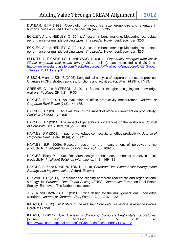DUNBAR, R.I.M (1993). Coevolution of neocortical size, group size and language in humans. Behavioral and Brain Sciences, **16** (4), 681-735.

ECKLEY, A and HEDLEY, C (2011). A lesson in benchmarking: Measuring real estate performance for multiple building types. The Leader, November/December, 32-34.

ECKLEY, A and HEDLEY, C (2011). A lesson in benchmarking: Measuring real estate performance for multiple building types. The Leader, November/December, 32-34.

ELLIOTT, L, PICARIELLO, L and YANG, H (2011). Opportunity emerges from crisis: Global corporate real estate survey 2011. [online]. Last accessed 8 5 2012 at: http://www.joneslanglasalle.com/MediaResources/AP/Marketing/Singapore/CRE\_Global Survey 2011 Final.pdf

GIBSON, V and LUCK, R (2006). Longitudinal analysis of corporate real estate practice: Changes in CRE strategy policies, functions and activities. Facilities, **24** (3/4), 74-89.

GREENE, C and MYERSON, J (2011). Space for thought: designing for knowledge workers. Facilities, **29** (1/2), 19-30.

HAYNES, B.P (2007). An evaluation of office productivity measurement. Journal of Corporate Real Estate, **9** (3), 144-155.

HAYNES, B.P (2008). An evaluation of the impact of office environment on productivity. Facilities, **26** (5/6), 178-195.

HAYNES, B.P (2011). The impact of generational differences on the workplace. Journal of Corporate Real Estate, **13** (2), 98-108.

HAYNES, B.P (2008). Impact of workplace connectivity on office productivity. Journal of Corporate Real Estate, **10** (4), 286-302.

HAYNES, B.P (2009). Research design or the measurement of perceived office productivity. Intelligent Buildings International, **1** (3), 169-183.

HAYNES, Barry P (2009). Research design or the measurement of perceived office productivity. Intelligent Buildings International, **1** (3), 169-183.

HAYNES, B.P and NUNNINGTON, N (2010). Corporate Real Estate Asset Management: Strategy and Implementation. Oxford, Elsevier.

HEYWARD, C (2011). Approaches to aligning corporate real estate and organisational strategy. In: European Real Estate Society (ERES) Conference, European Real Estate Society, Endhoven, The Netherlands, June.

JOY, A and HAYNES, B.P (2011). Office design for the multi-generational knowledge workforce. Journal of Corporate Real Estate, **13** (4), 216 – 232.

KADZIS, R (2012). 2012 State of the Industry: Corporate real estate in redefined world. CoreNet Global.

KADZIS, R (2011). How Business Is Chainging: Corporate Real Estate Touchstones. [online]. Last accessed 8 5 2012 at: http://www2.corenetglobal.org/dotCMS/kcoAsset?assetInode=11761323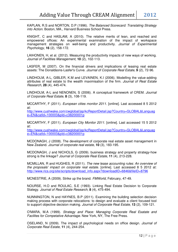KAPLAN, R.S and NORTON, D.P (1996). The Balanced Scorecard: Translating Strategy into Action. Boston, MA., Harvard Business School Press.

KNIGHT, C and HASLAM, A (2010). The relative merits of lean, and reached and empowered offices: An experimental examination of the impact of workspace management strategies on well-being and productivity. Journal of Experimental Psychology, **16** (2), 158-172.

LAIHONEN, H, et al. (2012). Measuring the productivity impacts of new ways of working. Journal of Facilities Management, **10** (2), 102-113.

LASFER, M (2007). On the financial drivers and implications of leasing real estate assets: The Donaldsons-Lasfer's Curve. Journal of Corporate Real Estate, **9** (2), 72-96.

LINDHOLM, A-L, GIBLER, K.M and LEVAINEN, K.I (2006). Modelling the value-adding attributes of real estate to the wealth maximisation of the firm. Journal of Real Estate Research, **28** (4), 445-474.

LINDHOLM, A-L and NENONEN, S (2006). A conceptual framework of CREM. Journal of Corporate Real Estate, **8** (3), 108-119.

MCCARTHY, F (2011). European cities monitor 2011. [online]. Last accessed 8 5 2012 at:

http://www.cushwake.com/cwglobal/isp/kcReportDetail.jsp?Country=GLOBAL&Languag e=EN&catId=100003&pId=c38200001p

MCCARTHY, F (2011). European City Monitor 2011. [online]. Last accessed 15 5 2012 at:

http://www.cushwake.com/cwglobal/jsp/kcReportDetail.jsp?Country=GLOBAL&Languag e=EN&catId=100003&pId=c38200001p

MCDONAGH, J (2008). The development of corporate real estate asset management in New Zealand. Journal of corporate real estate, **10** (3), 183-195.

MCDONAGH, J and NICHOLS, G (2009). business strategy and property strategy-how strong is the linkage? Journal of Corporate Real Estate, **11** (4), 213-228.

MCMILLAN, R and HUGHES, R (2011). The new lease accounting rules: An overview of the proposals' impact on corporate real estate. [online]. Last accessed 8 5 2012 at: http://www.rics.org/site/scripts/download\_info.aspx?downloadID=6846&fileID=8796

MCNESTRIE, A (2009). Strike up the brand. FMWorld, February, 47-49.

NOURSE, H.O and ROULAC, S.E (1993). Linking Real Estate Decision to Corporate Stategy. Journal of Real Estate Research, **8** (4), 475-494.

NUNNINGTON, N and HAYNES, B.P (2011). Examining the building selection decision making process with corporate relocations: to design and evaluate a client focused tool to support objective decision making. Journal of Corporate Real Estate, **13** (2), 109-121.

O'MARA, M.A (1999). Strategy and Place: Managing Corporate Real Esatate and Facilites for Competative Advantage. New York, NY, The Free Press.

OSELAND, N (2009). The impact of psychological needs on office design. Journal of Corporate Real Estate, **11** (4), 244-254.